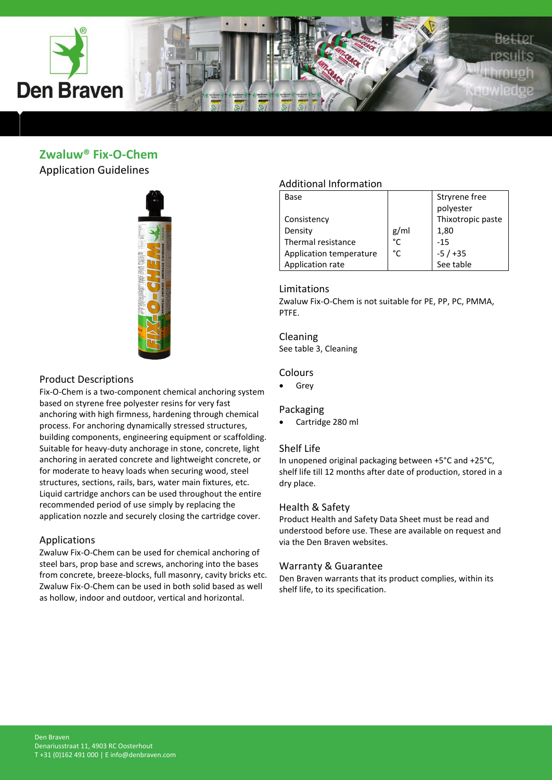

### **Zwaluw® Fix-O-Chem** Application Guidelines



### Product Descriptions

Fix-O-Chem is a two-component chemical anchoring system based on styrene free polyester resins for very fast anchoring with high firmness, hardening through chemical process. For anchoring dynamically stressed structures, building components, engineering equipment or scaffolding. Suitable for heavy-duty anchorage in stone, concrete, light anchoring in aerated concrete and lightweight concrete, or for moderate to heavy loads when securing wood, steel structures, sections, rails, bars, water main fixtures, etc. Liquid cartridge anchors can be used throughout the entire recommended period of use simply by replacing the application nozzle and securely closing the cartridge cover.

#### Applications

Zwaluw Fix-O-Chem can be used for chemical anchoring of steel bars, prop base and screws, anchoring into the bases from concrete, breeze-blocks, full masonry, cavity bricks etc. Zwaluw Fix-O-Chem can be used in both solid based as well as hollow, indoor and outdoor, vertical and horizontal.

### Additional Information

| Base                    |      | Stryrene free     |
|-------------------------|------|-------------------|
|                         |      | polyester         |
| Consistency             |      | Thixotropic paste |
| Density                 | g/ml | 1,80              |
| Thermal resistance      | °C   | $-15$             |
| Application temperature | °C   | $-5/+35$          |
| Application rate        |      | See table         |

#### Limitations

Zwaluw Fix-O-Chem is not suitable for PE, PP, PC, PMMA, PTFE.

#### Cleaning

See table 3, Cleaning

#### Colours

• Grey

#### Packaging

Cartridge 280 ml

#### Shelf Life

In unopened original packaging between +5°C and +25°C, shelf life till 12 months after date of production, stored in a dry place.

#### Health & Safety

Product Health and Safety Data Sheet must be read and understood before use. These are available on request and via the Den Braven websites.

#### Warranty & Guarantee

Den Braven warrants that its product complies, within its shelf life, to its specification.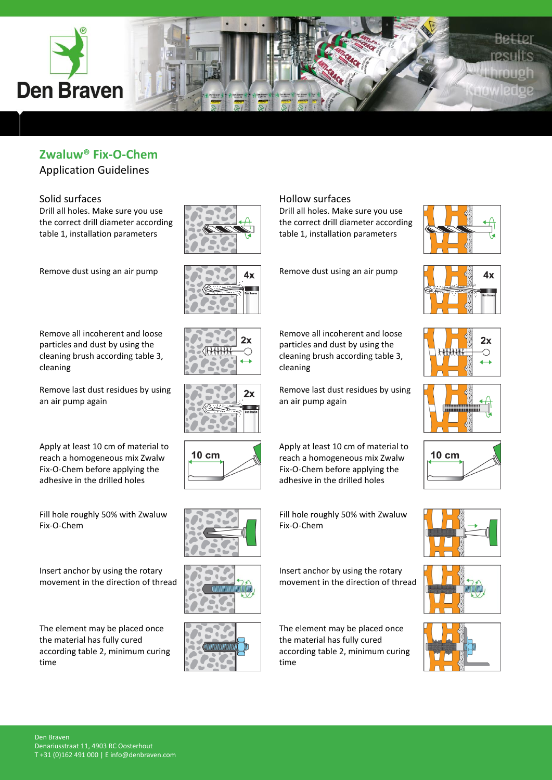

Application Guidelines

### Solid surfaces

Drill all holes. Make sure you use the correct drill diameter according table 1, installation parameters

Remove dust using an air pump

Remove all incoherent and loose particles and dust by using the cleaning brush according table 3, cleaning

Remove last dust residues by using an air pump again

Apply at least 10 cm of material to reach a homogeneous mix Zwalw Fix-O-Chem before applying the adhesive in the drilled holes

Fill hole roughly 50% with Zwaluw Fix-O-Chem

Insert anchor by using the rotary movement in the direction of thread

The element may be placed once the material has fully cured according table 2, minimum curing time















Hollow surfaces

Drill all holes. Make sure you use the correct drill diameter according table 1, installation parameters

Remove dust using an air pump

Remove all incoherent and loose particles and dust by using the cleaning brush according table 3,

Remove last dust residues by using

Apply at least 10 cm of material to reach a homogeneous mix Zwalw Fix-O-Chem before applying the adhesive in the drilled holes

Fill hole roughly 50% with Zwaluw

Insert anchor by using the rotary movement in the direction of thread

The element may be placed once the material has fully cured according table 2, minimum curing

cleaning

an air pump again

Fix-O-Chem

time















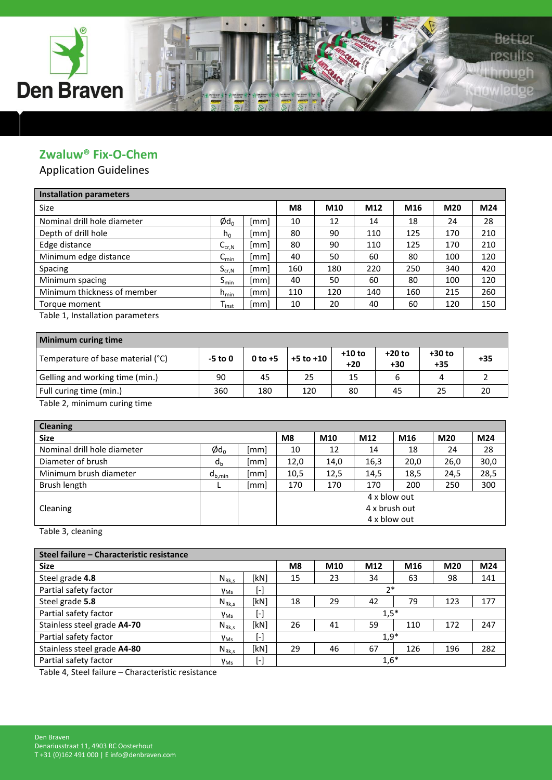

Application Guidelines

| <b>Installation parameters</b> |                       |      |     |     |     |     |     |     |
|--------------------------------|-----------------------|------|-----|-----|-----|-----|-----|-----|
| Size                           |                       |      | M8  | M10 | M12 | M16 | M20 | M24 |
| Nominal drill hole diameter    | $\phi$ d <sub>o</sub> | [mm] | 10  | 12  | 14  | 18  | 24  | 28  |
| Depth of drill hole            | $h_0$                 | [mm] | 80  | 90  | 110 | 125 | 170 | 210 |
| Edge distance                  | $C_{cr,N}$            | [mm] | 80  | 90  | 110 | 125 | 170 | 210 |
| Minimum edge distance          | $C_{\text{min}}$      | [mm] | 40  | 50  | 60  | 80  | 100 | 120 |
| Spacing                        | $S_{cr,N}$            | [mm] | 160 | 180 | 220 | 250 | 340 | 420 |
| Minimum spacing                | $S_{\sf min}$         | [mm] | 40  | 50  | 60  | 80  | 100 | 120 |
| Minimum thickness of member    | $h_{min}$             | [mm] | 110 | 120 | 140 | 160 | 215 | 260 |
| Torque moment                  | $T_{inst}$            | [mm] | 10  | 20  | 40  | 60  | 120 | 150 |

Table 1, Installation parameters

| Minimum curing time               |           |           |               |                   |                 |                   |       |  |  |  |
|-----------------------------------|-----------|-----------|---------------|-------------------|-----------------|-------------------|-------|--|--|--|
| Temperature of base material (°C) | $-5$ to 0 | $0$ to +5 | $+5$ to $+10$ | $+10$ to<br>$+20$ | +20 to<br>$+30$ | $+30$ to<br>$+35$ | $+35$ |  |  |  |
| Gelling and working time (min.)   | 90        | 45        | 25            | 15                |                 |                   |       |  |  |  |
| Full curing time (min.)           | 360       | 180       | 120           | 80                | 45              | 25                |       |  |  |  |
| _ _                               |           |           |               |                   |                 |                   |       |  |  |  |

Table 2, minimum curing time

| <b>Cleaning</b>             |                       |      |                |      |               |      |      |      |
|-----------------------------|-----------------------|------|----------------|------|---------------|------|------|------|
| <b>Size</b>                 |                       |      | M <sub>8</sub> | M10  | M12           | M16  | M20  | M24  |
| Nominal drill hole diameter | $\phi$ d <sub>0</sub> | [mm] | 10             | 12   | 14            | 18   | 24   | 28   |
| Diameter of brush           | $d_{h}$               | [mm] | 12,0           | 14,0 | 16,3          | 20,0 | 26,0 | 30,0 |
| Minimum brush diameter      | $d_{b,min}$           | [mm] | 10,5           | 12,5 | 14.5          | 18,5 | 24.5 | 28,5 |
| Brush length                |                       | [mm] | 170            | 170  | 170           | 200  | 250  | 300  |
|                             |                       |      |                |      | 4 x blow out  |      |      |      |
| Cleaning                    |                       |      |                |      | 4 x brush out |      |      |      |
|                             |                       |      |                |      | 4 x blow out  |      |      |      |

Table 3, cleaning

|                        |                        | M8 | M10 | M12 | M16 | M20                                | M24 |
|------------------------|------------------------|----|-----|-----|-----|------------------------------------|-----|
| $N_{Rk,s}$             | [kN]                   | 15 | 23  | 34  | 63  | 98                                 | 141 |
| <b>Y</b> <sub>Ms</sub> | $[\cdot]$              |    |     |     |     |                                    |     |
| $N_{Rk,s}$             | [kN]                   | 18 | 29  | 42  | 79  | 123                                | 177 |
| <b>Y</b> <sub>Ms</sub> | $\left[ \cdot \right]$ |    |     |     |     |                                    |     |
| $N_{Rk,s}$             | [kN]                   | 26 | 41  | 59  | 110 | 172                                | 247 |
| <b>YMs</b>             | $[\cdot]$              |    |     |     |     |                                    |     |
| $N_{Rk,s}$             | [kN]                   | 29 | 46  | 67  | 126 | 196                                | 282 |
| <b>Y</b> <sub>Ms</sub> | $\left[ \cdot \right]$ |    |     |     |     |                                    |     |
|                        |                        |    |     |     |     | $2*$<br>$1,5*$<br>$1,9*$<br>$1,6*$ |     |

Table 4, Steel failure – Characteristic resistance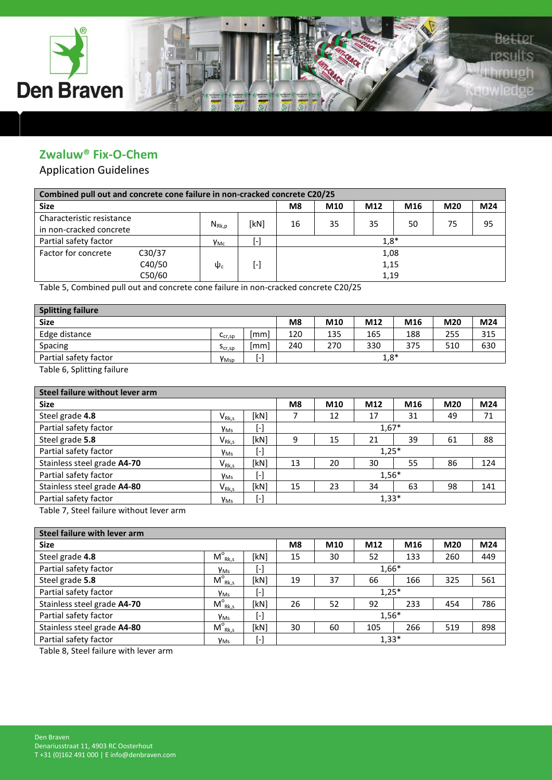

## Application Guidelines

| Combined pull out and concrete cone failure in non-cracked concrete C20/25 |        |                 |                     |      |     |      |     |     |     |  |
|----------------------------------------------------------------------------|--------|-----------------|---------------------|------|-----|------|-----|-----|-----|--|
| <b>Size</b>                                                                |        |                 |                     | M8   | M10 | M12  | M16 | M20 | M24 |  |
| Characteristic resistance                                                  |        |                 | 'kN1                | 16   | 35  | 35   | 50  | 75  | 95  |  |
| in non-cracked concrete                                                    |        | $N_{Rk,p}$      |                     |      |     |      |     |     |     |  |
| Partial safety factor                                                      |        | V <sub>Mc</sub> | $1,8*$<br>$[\cdot]$ |      |     |      |     |     |     |  |
| Factor for concrete                                                        | C30/37 |                 |                     | 1,08 |     |      |     |     |     |  |
|                                                                            | C40/50 | $\Psi_{0}$      | $[\cdot]$           |      |     | 1,15 |     |     |     |  |
|                                                                            | C50/60 |                 |                     |      |     | 1,19 |     |     |     |  |

Table 5, Combined pull out and concrete cone failure in non-cracked concrete C20/25

| <b>Splitting failure</b> |                  |      |                |     |        |     |     |     |
|--------------------------|------------------|------|----------------|-----|--------|-----|-----|-----|
| <b>Size</b>              |                  |      | M <sub>8</sub> | M10 | M12    | M16 | M20 | M24 |
| Edge distance            | $C_{cr,SD}$      | mm   | 120            | 135 | 165    | 188 | 255 | 315 |
| Spacing                  | $5_{cr,sp}$      | [mm] | 240            | 270 | 330    | 375 | 510 | 630 |
| Partial safety factor    | Y <sub>Msp</sub> | . .  |                |     | $1,8*$ |     |     |     |
|                          |                  |      |                |     |        |     |     |     |

Table 6, Splitting failure

| Steel failure without lever arm |                     |                |     |     |     |                               |     |  |  |  |
|---------------------------------|---------------------|----------------|-----|-----|-----|-------------------------------|-----|--|--|--|
|                                 |                     | M <sub>8</sub> | M10 | M12 | M16 | M20                           | M24 |  |  |  |
| $V_{Rk,s}$                      | [kN]                |                | 12  | 17  | 31  | 49                            | 71  |  |  |  |
| <b>Y</b> <sub>Ms</sub>          | $[\cdot]$           | $1,67*$        |     |     |     |                               |     |  |  |  |
| $V_{Rk,s}$                      | [kN]                | 9              | 15  | 21  | 39  | 61                            | 88  |  |  |  |
| <b>Y</b> <sub>Ms</sub>          | $[\cdot]$           |                |     |     |     |                               |     |  |  |  |
| $V_{Rk,s}$                      | [kN]                | 13             | 20  | 30  | 55  | 86                            | 124 |  |  |  |
| <b>Y</b> <sub>Ms</sub>          | $[\cdot]$           |                |     |     |     |                               |     |  |  |  |
| $V_{Rk,s}$                      | [kN]                | 15             | 23  | 34  | 63  | 98                            | 141 |  |  |  |
| <b>Y</b> <sub>Ms</sub>          | $\lbrack - \rbrack$ |                |     |     |     |                               |     |  |  |  |
|                                 |                     |                |     |     |     | $1,25*$<br>$1,56*$<br>$1,33*$ |     |  |  |  |

Table 7, Steel failure without lever arm

| Steel failure with lever arm |                        |           |                |     |         |     |     |     |  |  |  |  |
|------------------------------|------------------------|-----------|----------------|-----|---------|-----|-----|-----|--|--|--|--|
| <b>Size</b>                  |                        |           | M <sub>8</sub> | M10 | M12     | M16 | M20 | M24 |  |  |  |  |
| Steel grade 4.8              | $M^{\circ}_{Rk,s}$     | [kN]      | 15             | 30  | 52      | 133 | 260 | 449 |  |  |  |  |
| Partial safety factor        | <b>Y</b> <sub>Ms</sub> | $[\cdot]$ | $1,66*$        |     |         |     |     |     |  |  |  |  |
| Steel grade 5.8              | $M_{Rk,s}^{\circ}$     | [kN]      | 19             | 37  | 66      | 166 | 325 | 561 |  |  |  |  |
| Partial safety factor        | <b>Y</b> <sub>Ms</sub> | $[\cdot]$ |                |     | $1,25*$ |     |     |     |  |  |  |  |
| Stainless steel grade A4-70  | $M^{\circ}_{Rk,s}$     | [kN]      | 26             | 52  | 92      | 233 | 454 | 786 |  |  |  |  |
| Partial safety factor        | <b>Y</b> <sub>Ms</sub> | $[\cdot]$ |                |     | $1,56*$ |     |     |     |  |  |  |  |
| Stainless steel grade A4-80  | $M^{\circ}_{Rk,s}$     | [kN]      | 30             | 60  | 105     | 266 | 519 | 898 |  |  |  |  |
| Partial safety factor        | <b>Y</b> <sub>Ms</sub> | $[\cdot]$ |                |     | $1,33*$ |     |     |     |  |  |  |  |

Table 8, Steel failure with lever arm